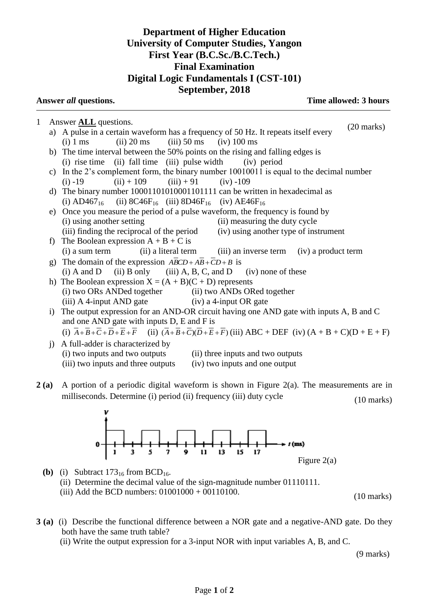## **Department of Higher Education University of Computer Studies, Yangon First Year (B.C.Sc./B.C.Tech.) Final Examination Digital Logic Fundamentals I (CST-101) September, 2018**

| Answer all questions. |                                                                                           |                                                                                                                                                                                                                                             | Time allowed: 3 hours |  |
|-----------------------|-------------------------------------------------------------------------------------------|---------------------------------------------------------------------------------------------------------------------------------------------------------------------------------------------------------------------------------------------|-----------------------|--|
| $\mathbf{1}$          |                                                                                           | Answer <b>ALL</b> questions.                                                                                                                                                                                                                | $(20 \text{ marks})$  |  |
|                       |                                                                                           | a) A pulse in a certain waveform has a frequency of 50 Hz. It repeats itself every                                                                                                                                                          |                       |  |
|                       |                                                                                           | $(iii)$ 50 ms<br>$(ii)$ 20 ms<br>$(iv)$ 100 ms<br>$(i)$ 1 ms                                                                                                                                                                                |                       |  |
|                       |                                                                                           | b) The time interval between the 50% points on the rising and falling edges is                                                                                                                                                              |                       |  |
|                       |                                                                                           | $(i)$ rise time $(ii)$ fall time $(iii)$ pulse width<br>(iv) period                                                                                                                                                                         |                       |  |
|                       |                                                                                           | c) In the 2's complement form, the binary number 10010011 is equal to the decimal number                                                                                                                                                    |                       |  |
|                       |                                                                                           | $(ii) + 109$ $(iii) + 91$<br>$(iv) -109$<br>$(i) -19$                                                                                                                                                                                       |                       |  |
|                       |                                                                                           | d) The binary number 10001101010001101111 can be written in hexadecimal as                                                                                                                                                                  |                       |  |
|                       |                                                                                           | (i) $AD467_{16}$ (ii) $8C46F_{16}$ (iii) $8D46F_{16}$ (iv) $AE46F_{16}$                                                                                                                                                                     |                       |  |
|                       |                                                                                           | e) Once you measure the period of a pulse waveform, the frequency is found by                                                                                                                                                               |                       |  |
|                       |                                                                                           | (i) using another setting<br>(ii) measuring the duty cycle                                                                                                                                                                                  |                       |  |
|                       |                                                                                           | (iii) finding the reciprocal of the period<br>(iv) using another type of instrument                                                                                                                                                         |                       |  |
|                       | $\ddot{\phantom{1}}$                                                                      | The Boolean expression $A + B + C$ is                                                                                                                                                                                                       |                       |  |
|                       |                                                                                           | (i) a sum term (ii) a literal term (iii) an inverse term (iv) a product term                                                                                                                                                                |                       |  |
|                       | g)                                                                                        | The domain of the expression $\overline{ABCD} + \overline{AB} + \overline{CD} + \overline{B}$ is                                                                                                                                            |                       |  |
|                       |                                                                                           | (i) A and D (ii) B only (iii) A, B, C, and D (iv) none of these                                                                                                                                                                             |                       |  |
|                       |                                                                                           | h) The Boolean expression $X = (A + B)(C + D)$ represents                                                                                                                                                                                   |                       |  |
|                       |                                                                                           | (i) two ORs ANDed together (ii) two ANDs ORed together                                                                                                                                                                                      |                       |  |
|                       |                                                                                           | (iii) A 4-input AND gate (iv) a 4-input OR gate                                                                                                                                                                                             |                       |  |
|                       | i) The output expression for an AND-OR circuit having one AND gate with inputs A, B and C |                                                                                                                                                                                                                                             |                       |  |
|                       | and one AND gate with inputs D, E and F is                                                |                                                                                                                                                                                                                                             |                       |  |
|                       |                                                                                           | (i) $\overline{A} + \overline{B} + \overline{C} + \overline{D} + \overline{E} + \overline{F}$ (ii) $(\overline{A} + \overline{B} + \overline{C})(\overline{D} + \overline{E} + \overline{F})$ (iii) ABC + DEF (iv) $(A + B + C)(D + E + F)$ |                       |  |
|                       | $\mathbf{i}$                                                                              | A full-adder is characterized by                                                                                                                                                                                                            |                       |  |
|                       |                                                                                           | (i) two inputs and two outputs<br>(ii) three inputs and two outputs                                                                                                                                                                         |                       |  |

- (iii) two inputs and three outputs (iv) two inputs and one output
- **2 (a)** A portion of a periodic digital waveform is shown in Figure 2(a). The measurements are in milliseconds. Determine (i) period (ii) frequency (iii) duty cycle (10 marks)



- **(b)** (i) Subtract  $173_{16}$  from BCD<sub>16</sub>. (ii) Determine the decimal value of the sign-magnitude number 01110111. (iii) Add the BCD numbers: 01001000 + 00110100.
- **3 (a)** (i) Describe the functional difference between a NOR gate and a negative-AND gate. Do they both have the same truth table?
	- (ii) Write the output expression for a 3-input NOR with input variables A, B, and C.

(9 marks)

(10 marks)